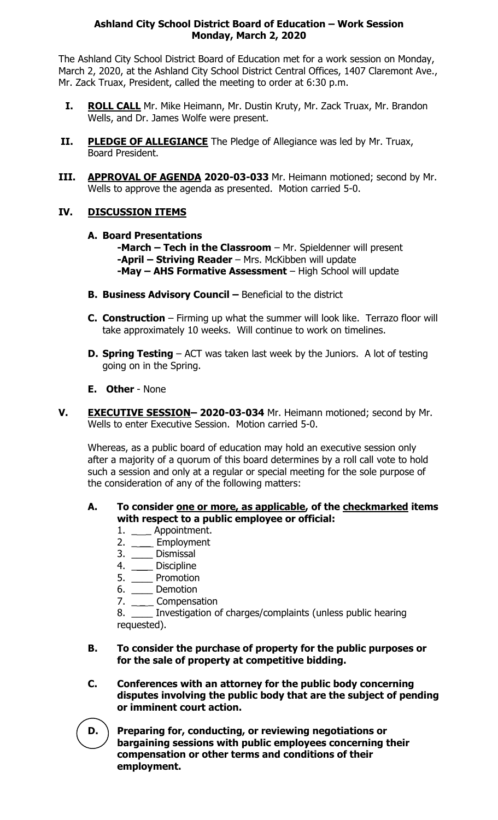## **Ashland City School District Board of Education – Work Session Monday, March 2, 2020**

The Ashland City School District Board of Education met for a work session on Monday, March 2, 2020, at the Ashland City School District Central Offices, 1407 Claremont Ave., Mr. Zack Truax, President, called the meeting to order at 6:30 p.m.

- **I. ROLL CALL** Mr. Mike Heimann, Mr. Dustin Kruty, Mr. Zack Truax, Mr. Brandon Wells, and Dr. James Wolfe were present.
- **II. PLEDGE OF ALLEGIANCE** The Pledge of Allegiance was led by Mr. Truax, Board President.
- **III. APPROVAL OF AGENDA 2020-03-033** Mr. Heimann motioned; second by Mr. Wells to approve the agenda as presented. Motion carried 5-0.

## **IV. DISCUSSION ITEMS**

**A. Board Presentations**

**-March – Tech in the Classroom** – Mr. Spieldenner will present **-April – Striving Reader** – Mrs. McKibben will update **-May – AHS Formative Assessment** – High School will update

- **B. Business Advisory Council –** Beneficial to the district
- **C.** Construction Firming up what the summer will look like. Terrazo floor will take approximately 10 weeks. Will continue to work on timelines.
- **D. Spring Testing** ACT was taken last week by the Juniors. A lot of testing going on in the Spring.
- **E. Other**  None
- **V. EXECUTIVE SESSION– 2020-03-034** Mr. Heimann motioned; second by Mr. Wells to enter Executive Session. Motion carried 5-0.

Whereas, as a public board of education may hold an executive session only after a majority of a quorum of this board determines by a roll call vote to hold such a session and only at a regular or special meeting for the sole purpose of the consideration of any of the following matters:

## **A. To consider one or more, as applicable, of the checkmarked items with respect to a public employee or official:**

- 1. \_\_\_\_ Appointment.
- 2. \_\_\_\_ Employment
- 3. \_\_\_\_ Dismissal
- 4. \_\_\_\_ Discipline
- 5. \_\_\_\_ Promotion
- 6. \_\_\_\_ Demotion
- 7. \_\_\_\_\_ Compensation

8. \_\_\_\_ Investigation of charges/complaints (unless public hearing requested).

## **B. To consider the purchase of property for the public purposes or for the sale of property at competitive bidding.**

**C. Conferences with an attorney for the public body concerning disputes involving the public body that are the subject of pending or imminent court action.**

**D. Preparing for, conducting, or reviewing negotiations or bargaining sessions with public employees concerning their compensation or other terms and conditions of their employment.**